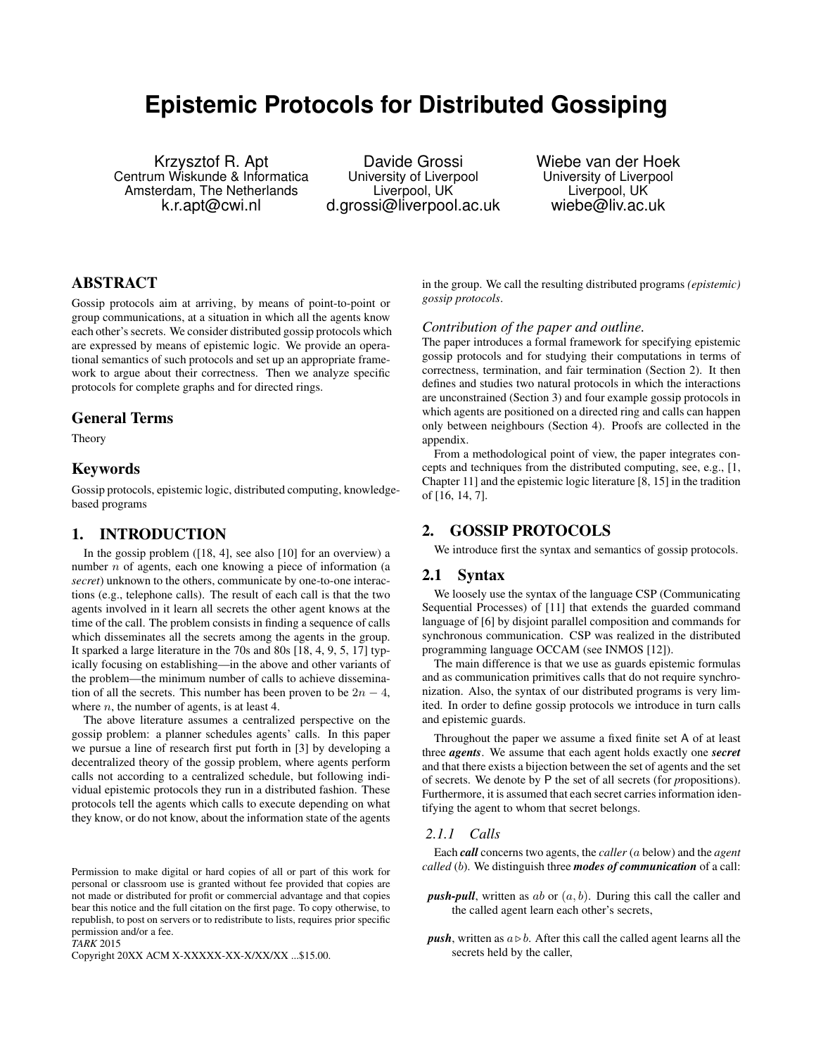# **Epistemic Protocols for Distributed Gossiping**

Krzysztof R. Apt Centrum Wiskunde & Informatica Amsterdam, The Netherlands k.r.apt@cwi.nl

Davide Grossi University of Liverpool Liverpool, UK d.grossi@liverpool.ac.uk

Wiebe van der Hoek University of Liverpool Liverpool, UK wiebe@liv.ac.uk

# ABSTRACT

Gossip protocols aim at arriving, by means of point-to-point or group communications, at a situation in which all the agents know each other's secrets. We consider distributed gossip protocols which are expressed by means of epistemic logic. We provide an operational semantics of such protocols and set up an appropriate framework to argue about their correctness. Then we analyze specific protocols for complete graphs and for directed rings.

## General Terms

Theory

# Keywords

Gossip protocols, epistemic logic, distributed computing, knowledgebased programs

# 1. INTRODUCTION

In the gossip problem ([18, 4], see also [10] for an overview) a number *n* of agents, each one knowing a piece of information (a *secret*) unknown to the others, communicate by one-to-one interactions (e.g., telephone calls). The result of each call is that the two agents involved in it learn all secrets the other agent knows at the time of the call. The problem consists in finding a sequence of calls which disseminates all the secrets among the agents in the group. It sparked a large literature in the 70s and 80s [18, 4, 9, 5, 17] typically focusing on establishing—in the above and other variants of the problem—the minimum number of calls to achieve dissemination of all the secrets. This number has been proven to be  $2n - 4$ , where  $n$ , the number of agents, is at least 4.

The above literature assumes a centralized perspective on the gossip problem: a planner schedules agents' calls. In this paper we pursue a line of research first put forth in [3] by developing a decentralized theory of the gossip problem, where agents perform calls not according to a centralized schedule, but following individual epistemic protocols they run in a distributed fashion. These protocols tell the agents which calls to execute depending on what they know, or do not know, about the information state of the agents

 $TARK$  2015

Copyright 20XX ACM X-XXXXX-XX-X/XX/XX ...\$15.00.

in the group. We call the resulting distributed programs *(epistemic) gossip protocols*.

## *Contribution of the paper and outline.*

The paper introduces a formal framework for specifying epistemic gossip protocols and for studying their computations in terms of correctness, termination, and fair termination (Section 2). It then defines and studies two natural protocols in which the interactions are unconstrained (Section 3) and four example gossip protocols in which agents are positioned on a directed ring and calls can happen only between neighbours (Section 4). Proofs are collected in the appendix.

From a methodological point of view, the paper integrates concepts and techniques from the distributed computing, see, e.g., [1, Chapter 11] and the epistemic logic literature [8, 15] in the tradition of [16, 14, 7].

# 2. GOSSIP PROTOCOLS

We introduce first the syntax and semantics of gossip protocols.

# 2.1 Syntax

We loosely use the syntax of the language CSP (Communicating Sequential Processes) of [11] that extends the guarded command language of [6] by disjoint parallel composition and commands for synchronous communication. CSP was realized in the distributed programming language OCCAM (see INMOS [12]).

The main difference is that we use as guards epistemic formulas and as communication primitives calls that do not require synchronization. Also, the syntax of our distributed programs is very limited. In order to define gossip protocols we introduce in turn calls and epistemic guards.

Throughout the paper we assume a fixed finite set A of at least three *agents*. We assume that each agent holds exactly one *secret* and that there exists a bijection between the set of agents and the set of secrets. We denote by P the set of all secrets (for *p*ropositions). Furthermore, it is assumed that each secret carries information identifying the agent to whom that secret belongs.

## *2.1.1 Calls*

Each *call* concerns two agents, the *caller* (a below) and the *agent called* (b). We distinguish three *modes of communication* of a call:

- *push-pull*, written as  $ab$  or  $(a, b)$ . During this call the caller and the called agent learn each other's secrets,
- *push*, written as  $a \triangleright b$ . After this call the called agent learns all the secrets held by the caller,

Permission to make digital or hard copies of all or part of this work for personal or classroom use is granted without fee provided that copies are not made or distributed for profit or commercial advantage and that copies bear this notice and the full citation on the first page. To copy otherwise, to republish, to post on servers or to redistribute to lists, requires prior specific permission and/or a fee.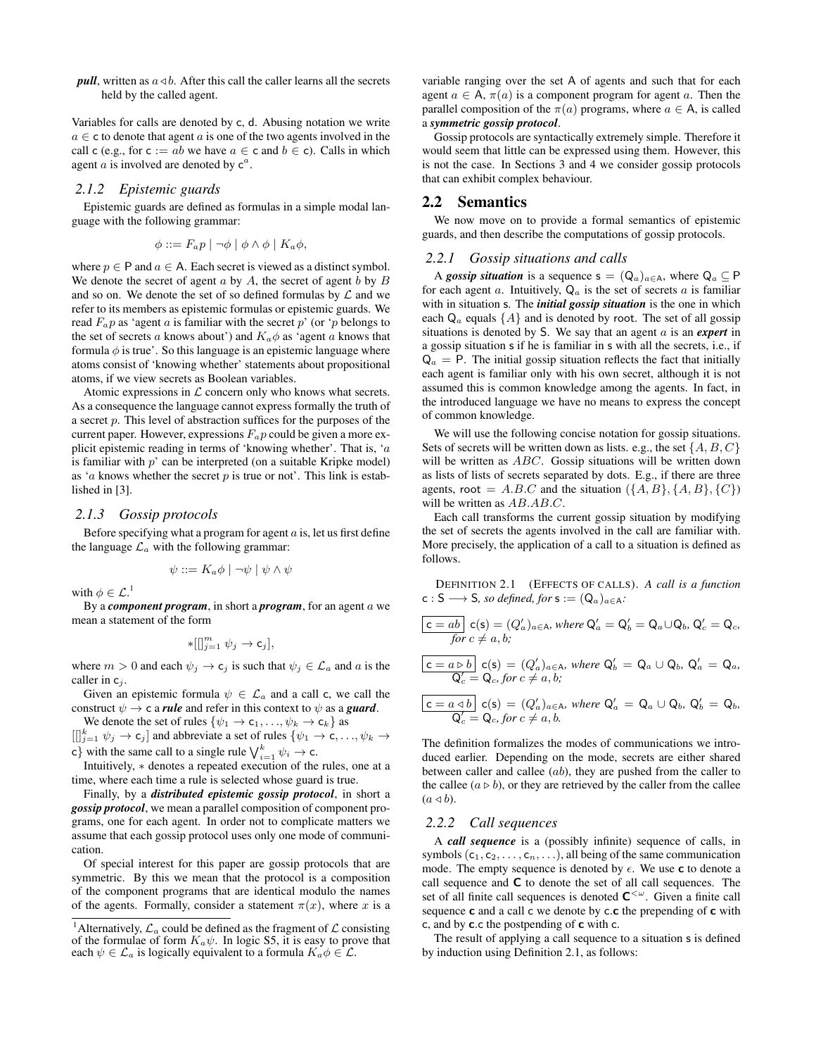*pull*, written as  $a \triangleleft b$ . After this call the caller learns all the secrets held by the called agent.

Variables for calls are denoted by c, d. Abusing notation we write  $a \in \mathsf{c}$  to denote that agent a is one of the two agents involved in the call c (e.g., for c := ab we have  $a \in \text{c}$  and  $b \in \text{c}$ ). Calls in which agent  $a$  is involved are denoted by  $c^a$ .

## *2.1.2 Epistemic guards*

Epistemic guards are defined as formulas in a simple modal language with the following grammar:

$$
\phi ::= F_a p \mid \neg \phi \mid \phi \land \phi \mid K_a \phi,
$$

where  $p \in P$  and  $a \in A$ . Each secret is viewed as a distinct symbol. We denote the secret of agent  $a$  by  $A$ , the secret of agent  $b$  by  $B$ and so on. We denote the set of so defined formulas by  $\mathcal L$  and we refer to its members as epistemic formulas or epistemic guards. We read  $F_a p$  as 'agent a is familiar with the secret p' (or 'p belongs to the set of secrets a knows about') and  $K_a\phi$  as 'agent a knows that formula  $\phi$  is true'. So this language is an epistemic language where atoms consist of 'knowing whether' statements about propositional atoms, if we view secrets as Boolean variables.

Atomic expressions in  $\mathcal L$  concern only who knows what secrets. As a consequence the language cannot express formally the truth of a secret p. This level of abstraction suffices for the purposes of the current paper. However, expressions  $F_a p$  could be given a more explicit epistemic reading in terms of 'knowing whether'. That is, 'a is familiar with  $p'$  can be interpreted (on a suitable Kripke model) as 'a knows whether the secret  $p$  is true or not'. This link is established in [3].

#### *2.1.3 Gossip protocols*

Before specifying what a program for agent  $a$  is, let us first define the language  $\mathcal{L}_a$  with the following grammar:

$$
\psi ::= K_a \phi \mid \neg \psi \mid \psi \land \psi
$$

with  $\phi \in \mathcal{L}^{\mathcal{A}}$ 

By a *component program*, in short a *program*, for an agent a we mean a statement of the form

$$
*[[]^m_{j=1} \psi_j \to \mathsf{c}_j],
$$

where  $m > 0$  and each  $\psi_j \to c_j$  is such that  $\psi_j \in \mathcal{L}_a$  and a is the caller in  $c_i$ .

Given an epistemic formula  $\psi \in \mathcal{L}_a$  and a call c, we call the construct  $\psi \rightarrow c$  a *rule* and refer in this context to  $\psi$  as a *guard*.

We denote the set of rules  $\{\psi_1 \to c_1, \ldots, \psi_k \to c_k\}$  as  $[[]_{j=1}^k \psi_j \to \mathsf{c}_j]$  and abbreviate a set of rules  $\{\psi_1 \to \mathsf{c}, \ldots, \psi_k \to \mathsf{c}_j\}$ 

c} with the same call to a single rule  $\bigvee_{i=1}^{k} \psi_i \to c$ .

Intuitively, ∗ denotes a repeated execution of the rules, one at a time, where each time a rule is selected whose guard is true.

Finally, by a *distributed epistemic gossip protocol*, in short a *gossip protocol*, we mean a parallel composition of component programs, one for each agent. In order not to complicate matters we assume that each gossip protocol uses only one mode of communication.

Of special interest for this paper are gossip protocols that are symmetric. By this we mean that the protocol is a composition of the component programs that are identical modulo the names of the agents. Formally, consider a statement  $\pi(x)$ , where x is a

variable ranging over the set A of agents and such that for each agent  $a \in A$ ,  $\pi(a)$  is a component program for agent a. Then the parallel composition of the  $\pi(a)$  programs, where  $a \in A$ , is called a *symmetric gossip protocol*.

Gossip protocols are syntactically extremely simple. Therefore it would seem that little can be expressed using them. However, this is not the case. In Sections 3 and 4 we consider gossip protocols that can exhibit complex behaviour.

## 2.2 Semantics

We now move on to provide a formal semantics of epistemic guards, and then describe the computations of gossip protocols.

#### *2.2.1 Gossip situations and calls*

A *gossip situation* is a sequence  $s = (Q_a)_{a \in A}$ , where  $Q_a \subseteq P$ for each agent a. Intuitively,  $Q_a$  is the set of secrets a is familiar with in situation s. The *initial gossip situation* is the one in which each  $Q_a$  equals  $\{A\}$  and is denoted by root. The set of all gossip situations is denoted by S. We say that an agent a is an *expert* in a gossip situation s if he is familiar in s with all the secrets, i.e., if  $Q_a$  = P. The initial gossip situation reflects the fact that initially each agent is familiar only with his own secret, although it is not assumed this is common knowledge among the agents. In fact, in the introduced language we have no means to express the concept of common knowledge.

We will use the following concise notation for gossip situations. Sets of secrets will be written down as lists. e.g., the set  $\{A, B, C\}$ will be written as *ABC*. Gossip situations will be written down as lists of lists of secrets separated by dots. E.g., if there are three agents, root =  $A.B.C$  and the situation  $({A, B}, {A, B}, {C})$ will be written as  $AB.AB.C.$ 

Each call transforms the current gossip situation by modifying the set of secrets the agents involved in the call are familiar with. More precisely, the application of a call to a situation is defined as follows.

DEFINITION 2.1 (EFFECTS OF CALLS). *A call is a function*  $c : S \longrightarrow S$ , so defined, for  $s := (Q_{\alpha})_{\alpha \in A}$ .

$$
\overline{\mathsf{c} = ab} \mathsf{c}(\mathsf{s}) = (Q'_a)_{a \in \mathsf{A}}, \text{ where } \mathsf{Q}'_a = \mathsf{Q}'_b = \mathsf{Q}_a \cup \mathsf{Q}_b, \mathsf{Q}'_c = \mathsf{Q}_c, \text{ for } c \neq a, b;
$$

$$
\boxed{\mathsf{c}=a\triangleright b}\ \mathsf{c}(\mathsf{s})=(Q'_a)_{a\in\mathsf{A}},\ \text{where}\ \mathsf{Q}'_b=\mathsf{Q}_a\cup\mathsf{Q}_b,\ \mathsf{Q}'_a=\mathsf{Q}_a,\\ \mathsf{Q}'_c=\mathsf{Q}_c,\ \text{for}\ c\neq a,b;
$$

$$
\boxed{\mathsf{c} = a \triangleleft b} \mathsf{c}(\mathsf{s}) = (Q'_a)_{a \in \mathsf{A}}, \text{ where } \mathsf{Q}'_a = \mathsf{Q}_a \cup \mathsf{Q}_b, \mathsf{Q}'_b = \mathsf{Q}_b, \mathsf{Q}'_c = \mathsf{Q}_c, \text{ for } c \neq a, b.
$$

The definition formalizes the modes of communications we introduced earlier. Depending on the mode, secrets are either shared between caller and callee  $(ab)$ , they are pushed from the caller to the callee  $(a \triangleright b)$ , or they are retrieved by the caller from the callee  $(a \triangleleft b)$ .

## *2.2.2 Call sequences*

A *call sequence* is a (possibly infinite) sequence of calls, in symbols  $(c_1, c_2, \ldots, c_n, \ldots)$ , all being of the same communication mode. The empty sequence is denoted by  $\epsilon$ . We use **c** to denote a call sequence and C to denote the set of all call sequences. The set of all finite call sequences is denoted  $C<sup>{\omega}</sup>$ . Given a finite call sequence  $c$  and a call  $c$  we denote by  $c.c$  the prepending of  $c$  with c, and by c.c the postpending of c with c.

The result of applying a call sequence to a situation s is defined by induction using Definition 2.1, as follows:

<sup>&</sup>lt;sup>1</sup> Alternatively,  $\mathcal{L}_a$  could be defined as the fragment of  $\mathcal L$  consisting of the formulae of form  $K_a \psi$ . In logic S5, it is easy to prove that each  $\psi \in \mathcal{L}_a$  is logically equivalent to a formula  $K_a \phi \in \mathcal{L}$ .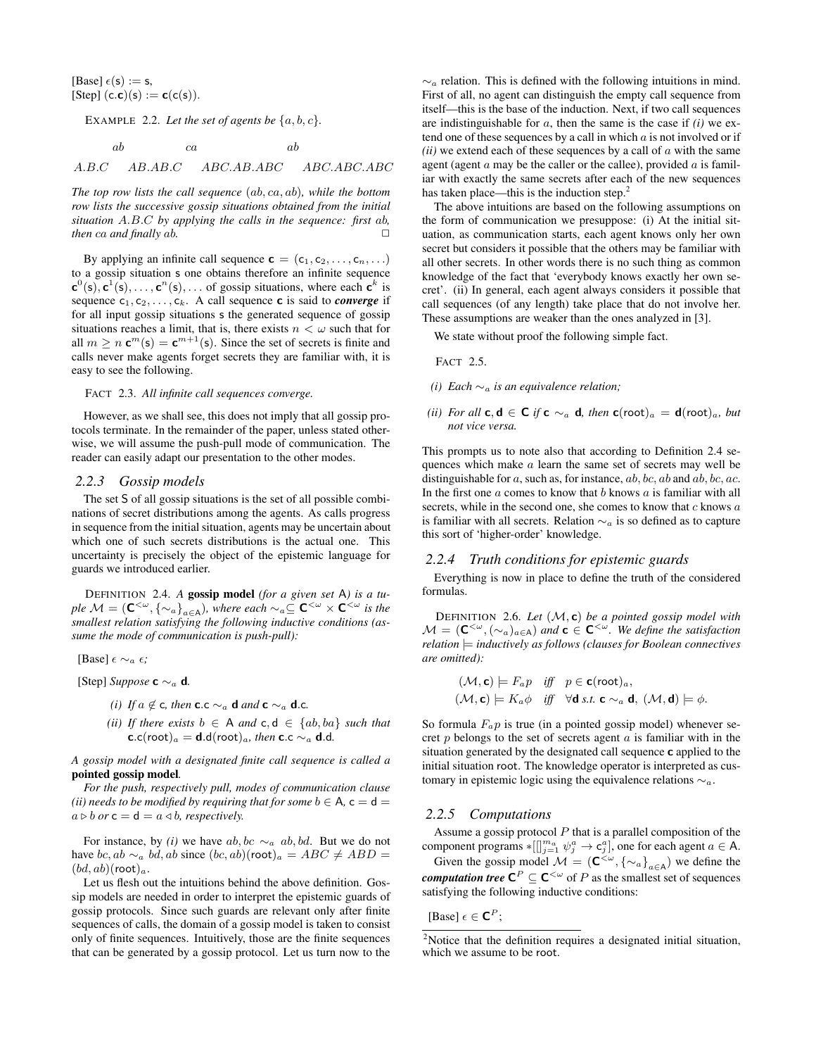[Base]  $\epsilon(s) := s$ , [Step]  $(c.c)(s) := c(c(s)).$ 

EXAMPLE 2.2. Let the set of agents be  $\{a, b, c\}$ .

 $ab$  ca  $ab$ 

A.B.C AB.AB.C ABC.AB.ABC ABC.ABC.ABC

*The top row lists the call sequence* (ab, ca, ab)*, while the bottom row lists the successive gossip situations obtained from the initial situation* A.B.C *by applying the calls in the sequence: first* ab*, then* ca and finally ab.  $\Box$ 

By applying an infinite call sequence  $\mathbf{c} = (c_1, c_2, \dots, c_n, \dots)$ to a gossip situation s one obtains therefore an infinite sequence  ${\bf c}^{0}(s), {\bf c}^{1}(s), \ldots, {\bf c}^{n}(s), \ldots$  of gossip situations, where each  ${\bf c}^{k}$  is sequence  $c_1, c_2, \ldots, c_k$ . A call sequence **c** is said to *converge* if for all input gossip situations s the generated sequence of gossip situations reaches a limit, that is, there exists  $n < \omega$  such that for all  $m \geq n$   $\mathbf{c}^m(\mathbf{s}) = \mathbf{c}^{m+1}(\mathbf{s})$ . Since the set of secrets is finite and calls never make agents forget secrets they are familiar with, it is easy to see the following.

#### FACT 2.3. *All infinite call sequences converge.*

However, as we shall see, this does not imply that all gossip protocols terminate. In the remainder of the paper, unless stated otherwise, we will assume the push-pull mode of communication. The reader can easily adapt our presentation to the other modes.

#### *2.2.3 Gossip models*

The set S of all gossip situations is the set of all possible combinations of secret distributions among the agents. As calls progress in sequence from the initial situation, agents may be uncertain about which one of such secrets distributions is the actual one. This uncertainty is precisely the object of the epistemic language for guards we introduced earlier.

DEFINITION 2.4. *A* gossip model *(for a given set* A*) is a tuple*  $M = (C<sup>{<</sup>, {<sup>∼</sup><sub>a</sub>}<sub>a∈A</sub>), where each ~<sup>α</sup><sub>a</sub> ⊆ C<sup>{< × C<sup>{< is the</sup></sup>$ *smallest relation satisfying the following inductive conditions (assume the mode of communication is push-pull):*

[Base]  $\epsilon \sim_a \epsilon$ ;

[Step] *Suppose* c ∼<sup>a</sup> d*.*

- *(i) If*  $a \notin c$ *, then* **c**.c ∼<sub>a</sub> **d** *and* **c** ∼<sub>a</sub> **d**.c.
- *(ii) If there exists*  $b \in A$  *and*  $c, d \in \{ab, ba\}$  *such that*  ${\bf c}.c($ root $)_a = {\bf d}.d($ root $)_a$ *, then*  ${\bf c}.c \sim_a {\bf d}.d$ .

*A gossip model with a designated finite call sequence is called a* pointed gossip model*.*

*For the push, respectively pull, modes of communication clause (ii) needs to be modified by requiring that for some*  $b \in A$ ,  $c = d$  $a \triangleright b$  *or*  $c = d = a \triangleleft b$ *, respectively.* 

For instance, by *(i)* we have ab, bc  $\sim_a$  ab, bd. But we do not have bc, ab  $\sim_a bd$ , ab since  $(bc, ab)(root)_a = ABC \neq ABD =$  $(bd, ab)(\text{root})_a$ .

Let us flesh out the intuitions behind the above definition. Gossip models are needed in order to interpret the epistemic guards of gossip protocols. Since such guards are relevant only after finite sequences of calls, the domain of a gossip model is taken to consist only of finite sequences. Intuitively, those are the finite sequences that can be generated by a gossip protocol. Let us turn now to the

 $\sim_a$  relation. This is defined with the following intuitions in mind. First of all, no agent can distinguish the empty call sequence from itself—this is the base of the induction. Next, if two call sequences are indistinguishable for a, then the same is the case if *(i)* we extend one of these sequences by a call in which  $\alpha$  is not involved or if  $(ii)$  we extend each of these sequences by a call of  $\alpha$  with the same agent (agent  $a$  may be the caller or the callee), provided  $a$  is familiar with exactly the same secrets after each of the new sequences has taken place—this is the induction step.<sup>2</sup>

The above intuitions are based on the following assumptions on the form of communication we presuppose: (i) At the initial situation, as communication starts, each agent knows only her own secret but considers it possible that the others may be familiar with all other secrets. In other words there is no such thing as common knowledge of the fact that 'everybody knows exactly her own secret'. (ii) In general, each agent always considers it possible that call sequences (of any length) take place that do not involve her. These assumptions are weaker than the ones analyzed in [3].

We state without proof the following simple fact.

FACT 2.5.

- *(i) Each* ∼<sup>a</sup> *is an equivalence relation;*
- *(ii) For all* **c**,  $d \in C$  *if*  $c \sim_a d$ , *then*  $c(\text{root})_a = d(\text{root})_a$ *, but not vice versa.*

This prompts us to note also that according to Definition 2.4 sequences which make a learn the same set of secrets may well be distinguishable for  $a$ , such as, for instance,  $ab$ ,  $bc$ ,  $ab$  and  $ab$ ,  $bc$ ,  $ac$ . In the first one  $a$  comes to know that  $b$  knows  $a$  is familiar with all secrets, while in the second one, she comes to know that  $c$  knows  $a$ is familiar with all secrets. Relation  $\sim_a$  is so defined as to capture this sort of 'higher-order' knowledge.

#### *2.2.4 Truth conditions for epistemic guards*

Everything is now in place to define the truth of the considered formulas.

DEFINITION 2.6. *Let* (M, c) *be a pointed gossip model with*  $\mathcal{M} = (\mathbf{C}^{<\omega}, (\sim_a)_{a\in\mathsf{A}})$  and  $\mathbf{c} \in \mathbf{C}^{<\omega}$ . We define the satisfaction *relation* |= *inductively as follows (clauses for Boolean connectives are omitted):*

$$
(\mathcal{M}, \mathbf{c}) \models F_a p \quad \text{iff} \quad p \in \mathbf{c}(\text{root})_a,
$$
  
 $(\mathcal{M}, \mathbf{c}) \models K_a \phi \quad \text{iff} \quad \forall \mathbf{d} \text{ s.t. } \mathbf{c} \sim_a \mathbf{d}, (\mathcal{M}, \mathbf{d}) \models \phi.$ 

So formula  $F_a p$  is true (in a pointed gossip model) whenever secret  $p$  belongs to the set of secrets agent  $a$  is familiar with in the situation generated by the designated call sequence c applied to the initial situation root. The knowledge operator is interpreted as customary in epistemic logic using the equivalence relations  $\sim_a$ .

## *2.2.5 Computations*

Assume a gossip protocol  $P$  that is a parallel composition of the component programs  $*[[\frac{m_a}{j-1} \psi_j^a \to \mathsf{c}_j^a]$ , one for each agent  $a \in \mathsf{A}$ .

Given the gossip model  $M = (\mathbb{C}^{<\omega}, {\{\sim_a\}}_{a \in A})$  we define the *computation tree*  $\mathsf{C}^{P}\subseteq \mathsf{C}^{<\omega}$  of *P* as the smallest set of sequences satisfying the following inductive conditions:

[Base]  $\epsilon \in \mathbf{C}^P$ ;

<sup>2</sup>Notice that the definition requires a designated initial situation, which we assume to be root.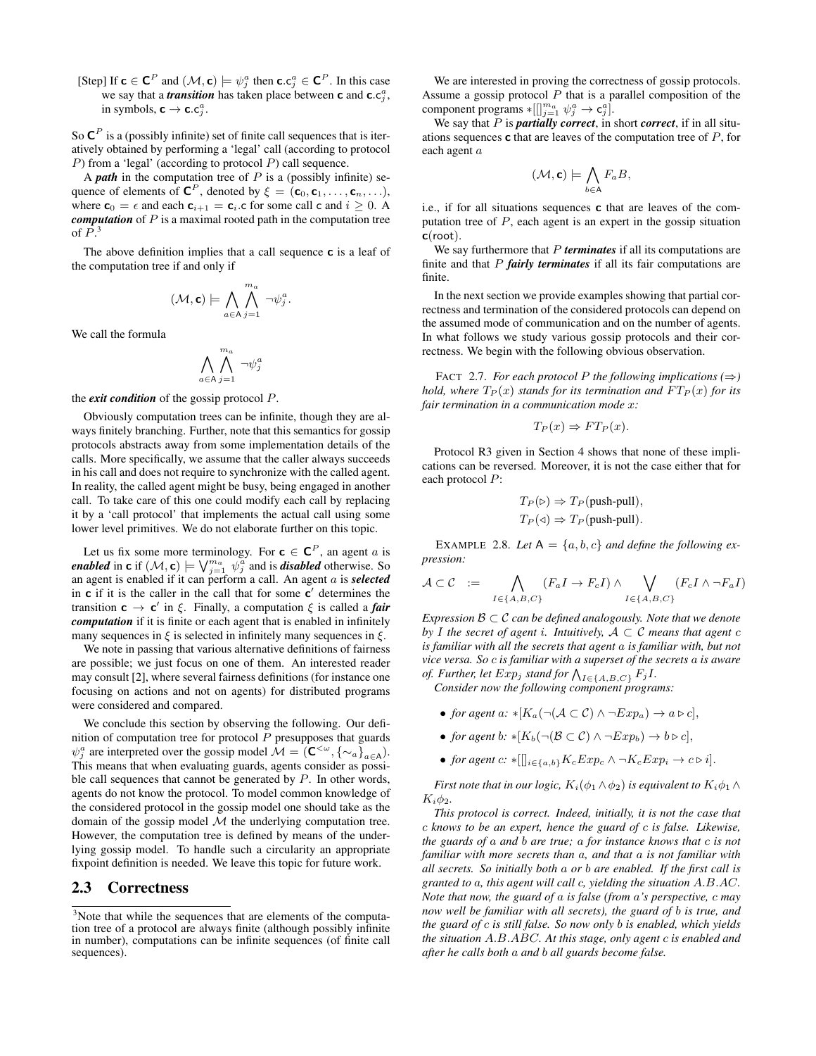[Step] If  $c \in C^P$  and  $(\mathcal{M}, c) \models \psi_j^a$  then  $c.c_j^a \in C^P$ . In this case we say that a *transition* has taken place between **c** and  $\mathbf{c}.\mathbf{c}_j^a$ , in symbols,  $c \rightarrow c.c_j^a$ .

So  $\mathbf{C}^P$  is a (possibly infinite) set of finite call sequences that is iteratively obtained by performing a 'legal' call (according to protocol  $P$ ) from a 'legal' (according to protocol  $P$ ) call sequence.

A *path* in the computation tree of P is a (possibly infinite) sequence of elements of  $\mathbf{C}^P$ , denoted by  $\xi = (\mathbf{c}_0, \mathbf{c}_1, \dots, \mathbf{c}_n, \dots)$ , where  $\mathbf{c}_0 = \epsilon$  and each  $\mathbf{c}_{i+1} = \mathbf{c}_i$  c for some call c and  $i \geq 0$ . A *computation* of P is a maximal rooted path in the computation tree of  $P^3$ .

The above definition implies that a call sequence **c** is a leaf of the computation tree if and only if

$$
(\mathcal{M}, \mathbf{c}) \models \bigwedge_{a \in A} \bigwedge_{j=1}^{m_a} \neg \psi_j^a.
$$

We call the formula

$$
\bigwedge_{a\in\mathsf{A}}\bigwedge_{j=1}^{m_a}\neg\psi^a_j
$$

the *exit condition* of the gossip protocol P.

Obviously computation trees can be infinite, though they are always finitely branching. Further, note that this semantics for gossip protocols abstracts away from some implementation details of the calls. More specifically, we assume that the caller always succeeds in his call and does not require to synchronize with the called agent. In reality, the called agent might be busy, being engaged in another call. To take care of this one could modify each call by replacing it by a 'call protocol' that implements the actual call using some lower level primitives. We do not elaborate further on this topic.

Let us fix some more terminology. For  $c \in C^P$ , an agent a is *enabled* in **c** if  $(M, c) \models \bigvee_{j=1}^{m_a} \psi_j^a$  and is *disabled* otherwise. So an agent is enabled if it can perform a call. An agent a is *selected* in  $c$  if it is the caller in the call that for some  $c'$  determines the transition  $\mathbf{c} \to \mathbf{c}'$  in  $\xi$ . Finally, a computation  $\xi$  is called a *fair computation* if it is finite or each agent that is enabled in infinitely many sequences in  $\xi$  is selected in infinitely many sequences in  $\xi$ .

We note in passing that various alternative definitions of fairness are possible; we just focus on one of them. An interested reader may consult [2], where several fairness definitions (for instance one focusing on actions and not on agents) for distributed programs were considered and compared.

We conclude this section by observing the following. Our definition of computation tree for protocol  $P$  presupposes that guards  $\psi_j^a$  are interpreted over the gossip model  $\mathcal{M} = (\mathbf{C}^{<\omega}, {\{\sim_a\}}_{a\in\mathbf{A}}).$ This means that when evaluating guards, agents consider as possible call sequences that cannot be generated by  $P$ . In other words, agents do not know the protocol. To model common knowledge of the considered protocol in the gossip model one should take as the domain of the gossip model  $M$  the underlying computation tree. However, the computation tree is defined by means of the underlying gossip model. To handle such a circularity an appropriate fixpoint definition is needed. We leave this topic for future work.

# 2.3 Correctness

We are interested in proving the correctness of gossip protocols. Assume a gossip protocol  $P$  that is a parallel composition of the component programs  $*[[]_{j=1}^{m_a} \psi_j^a \to \mathbf{c}_j^a]$ .

We say that P is *partially correct*, in short *correct*, if in all situations sequences  $\bf{c}$  that are leaves of the computation tree of  $P$ , for each agent a

$$
(\mathcal{M}, \mathbf{c}) \models \bigwedge_{b \in \mathsf{A}} F_a B,
$$

i.e., if for all situations sequences c that are leaves of the computation tree of P, each agent is an expert in the gossip situation  $c(root)$ .

We say furthermore that P *terminates* if all its computations are finite and that P *fairly terminates* if all its fair computations are finite.

In the next section we provide examples showing that partial correctness and termination of the considered protocols can depend on the assumed mode of communication and on the number of agents. In what follows we study various gossip protocols and their correctness. We begin with the following obvious observation.

FACT 2.7. *For each protocol P the following implications* ( $\Rightarrow$ ) *hold, where*  $T_P(x)$  *stands for its termination and*  $FT_P(x)$  *for its fair termination in a communication mode* x*:*

$$
T_P(x) \Rightarrow FT_P(x).
$$

Protocol R3 given in Section 4 shows that none of these implications can be reversed. Moreover, it is not the case either that for each protocol P:

$$
T_P(\triangleright) \Rightarrow T_P(\text{push-pull}),
$$
  

$$
T_P(\triangleleft) \Rightarrow T_P(\text{push-pull}).
$$

EXAMPLE 2.8. Let  $A = \{a, b, c\}$  and define the following ex*pression:*

$$
\mathcal{A} \subset \mathcal{C} \quad := \quad \bigwedge_{I \in \{A, B, C\}} (F_a I \to F_c I) \land \bigvee_{I \in \{A, B, C\}} (F_c I \land \neg F_a I)
$$

*Expression*  $\mathcal{B} \subset \mathcal{C}$  *can be defined analogously. Note that we denote by I* the secret of agent *i*. Intuitively,  $A \subset C$  *means that agent*  $c$ *is familiar with all the secrets that agent* a *is familiar with, but not vice versa. So* c *is familiar with a superset of the secrets* a *is aware of. Further, let*  $Exp_j$  *stand for*  $\bigwedge_{I \in \{A,B,C\}} F_j I$ .

*Consider now the following component programs:*

- *for agent a:*  $*[K_a(\neg(A \subset \mathcal{C}) \land \neg Exp_a) \rightarrow a \triangleright c],$
- *for agent b:*  $*[K_b(\neg (\mathcal{B} \subset \mathcal{C}) \land \neg Exp_b) \rightarrow b \triangleright c].$
- *for agent*  $c: *[[]_{i \in \{a,b\}} K_c Exp_c \wedge \neg K_c Exp_i \rightarrow c \triangleright i].$

*First note that in our logic,*  $K_i(\phi_1 \wedge \phi_2)$  *is equivalent to*  $K_i\phi_1 \wedge$  $K_i \phi_2$ .

*This protocol is correct. Indeed, initially, it is not the case that* c *knows to be an expert, hence the guard of* c *is false. Likewise, the guards of* a *and* b *are true;* a *for instance knows that* c *is not familiar with more secrets than* a*, and that* a *is not familiar with all secrets. So initially both* a *or* b *are enabled. If the first call is granted to* a*, this agent will call* c*, yielding the situation* A.B.AC*. Note that now, the guard of* a *is false (from* a*'s perspective,* c *may now well be familiar with all secrets), the guard of* b *is true, and the guard of* c *is still false. So now only* b *is enabled, which yields the situation* A.B.ABC*. At this stage, only agent* c *is enabled and after he calls both* a *and* b *all guards become false.*

<sup>&</sup>lt;sup>3</sup>Note that while the sequences that are elements of the computation tree of a protocol are always finite (although possibly infinite in number), computations can be infinite sequences (of finite call sequences).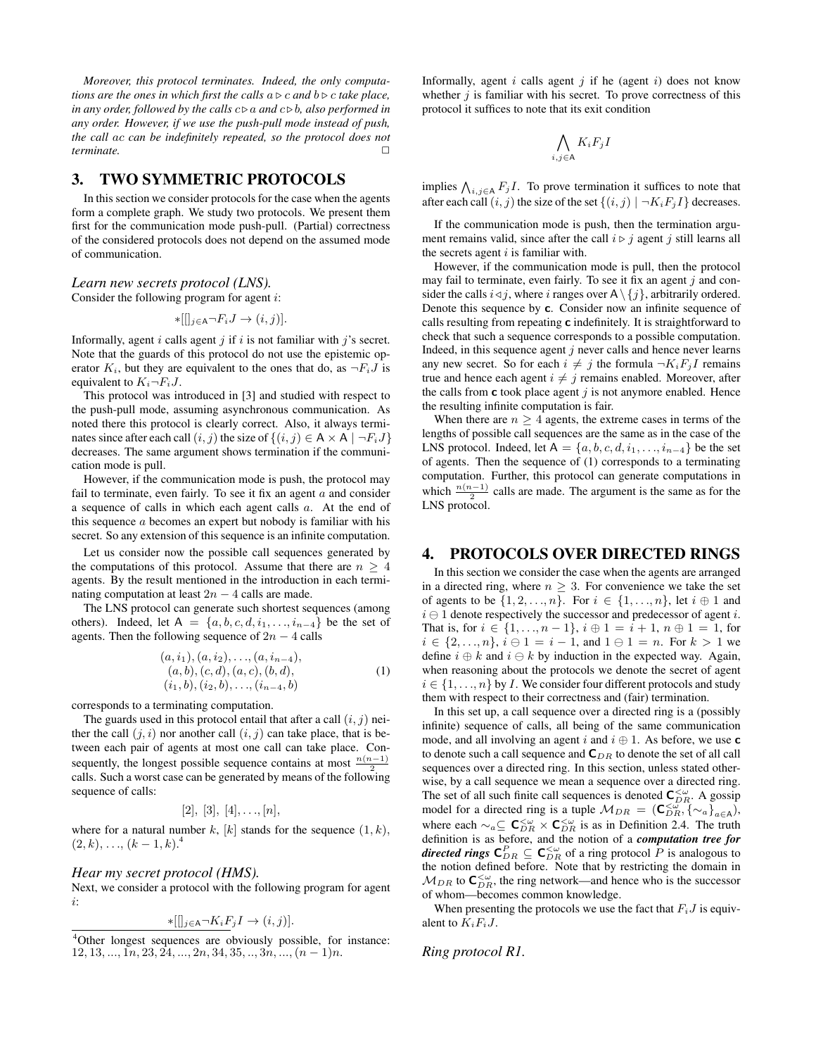*Moreover, this protocol terminates. Indeed, the only computations are the ones in which first the calls*  $a \triangleright c$  *and*  $b \triangleright c$  *take place, in any order, followed by the calls*  $c \triangleright a$  *and*  $c \triangleright b$ *, also performed in any order. However, if we use the push-pull mode instead of push, the call* ac *can be indefinitely repeated, so the protocol does not terminate.* □

# 3. TWO SYMMETRIC PROTOCOLS

In this section we consider protocols for the case when the agents form a complete graph. We study two protocols. We present them first for the communication mode push-pull. (Partial) correctness of the considered protocols does not depend on the assumed mode of communication.

# *Learn new secrets protocol (LNS).*

Consider the following program for agent i:

$$
*[[]_{j\in A}\neg F_iJ\to (i,j)].
$$

Informally, agent  $i$  calls agent  $j$  if  $i$  is not familiar with  $j$ 's secret. Note that the guards of this protocol do not use the epistemic operator  $K_i$ , but they are equivalent to the ones that do, as  $\neg F_i J$  is equivalent to  $K_i \neg F_i J$ .

This protocol was introduced in [3] and studied with respect to the push-pull mode, assuming asynchronous communication. As noted there this protocol is clearly correct. Also, it always terminates since after each call  $(i, j)$  the size of  $\{(i, j) \in A \times A \mid \neg F_i J\}$ decreases. The same argument shows termination if the communication mode is pull.

However, if the communication mode is push, the protocol may fail to terminate, even fairly. To see it fix an agent  $a$  and consider a sequence of calls in which each agent calls a. At the end of this sequence a becomes an expert but nobody is familiar with his secret. So any extension of this sequence is an infinite computation.

Let us consider now the possible call sequences generated by the computations of this protocol. Assume that there are  $n \geq 4$ agents. By the result mentioned in the introduction in each terminating computation at least  $2n - 4$  calls are made.

The LNS protocol can generate such shortest sequences (among others). Indeed, let A =  $\{a, b, c, d, i_1, \ldots, i_{n-4}\}$  be the set of agents. Then the following sequence of  $2n - 4$  calls

$$
(a, i_1), (a, i_2), \ldots, (a, i_{n-4}),(a, b), (c, d), (a, c), (b, d),(i_1, b), (i_2, b), \ldots, (i_{n-4}, b)
$$
\n(1)

corresponds to a terminating computation.

The guards used in this protocol entail that after a call  $(i, j)$  neither the call  $(j, i)$  nor another call  $(i, j)$  can take place, that is between each pair of agents at most one call can take place. Consequently, the longest possible sequence contains at most  $\frac{n(n-1)}{2}$ calls. Such a worst case can be generated by means of the following sequence of calls:

$$
[2], [3], [4], \ldots, [n],
$$

where for a natural number k, [k] stands for the sequence  $(1, k)$ ,  $(2, k), \ldots, (k - 1, k)^{4}$ 

## *Hear my secret protocol (HMS).*

Next, we consider a protocol with the following program for agent i:

$$
*[[]_{j\in A}\neg K_iF_jI\to (i,j)].
$$

Informally, agent  $i$  calls agent  $j$  if he (agent  $i$ ) does not know whether  $j$  is familiar with his secret. To prove correctness of this protocol it suffices to note that its exit condition

$$
\bigwedge_{i,j\in A} K_i F_j I
$$

implies  $\bigwedge_{i,j\in A} F_j I$ . To prove termination it suffices to note that after each call  $(i, j)$  the size of the set  $\{(i, j) | \neg K_i F_j I\}$  decreases.

If the communication mode is push, then the termination argument remains valid, since after the call  $i \triangleright j$  agent j still learns all the secrets agent  $i$  is familiar with.

However, if the communication mode is pull, then the protocol may fail to terminate, even fairly. To see it fix an agent  $j$  and consider the calls  $i \triangleleft j$ , where i ranges over  $A \setminus \{j\}$ , arbitrarily ordered. Denote this sequence by c. Consider now an infinite sequence of calls resulting from repeating c indefinitely. It is straightforward to check that such a sequence corresponds to a possible computation. Indeed, in this sequence agent  $j$  never calls and hence never learns any new secret. So for each  $i \neq j$  the formula  $\neg K_iF_jI$  remains true and hence each agent  $i \neq j$  remains enabled. Moreover, after the calls from  $c$  took place agent  $j$  is not anymore enabled. Hence the resulting infinite computation is fair.

When there are  $n \geq 4$  agents, the extreme cases in terms of the lengths of possible call sequences are the same as in the case of the LNS protocol. Indeed, let A =  $\{a, b, c, d, i_1, \ldots, i_{n-4}\}$  be the set of agents. Then the sequence of (1) corresponds to a terminating computation. Further, this protocol can generate computations in which  $\frac{n(n-1)}{2}$  calls are made. The argument is the same as for the LNS protocol.

## 4. PROTOCOLS OVER DIRECTED RINGS

In this section we consider the case when the agents are arranged in a directed ring, where  $n \geq 3$ . For convenience we take the set of agents to be  $\{1, 2, \ldots, n\}$ . For  $i \in \{1, \ldots, n\}$ , let  $i \oplus 1$  and  $i \ominus 1$  denote respectively the successor and predecessor of agent i. That is, for  $i \in \{1, ..., n-1\}$ ,  $i \oplus 1 = i + 1$ ,  $n \oplus 1 = 1$ , for  $i \in \{2, ..., n\}, i \ominus 1 = i - 1$ , and  $1 \ominus 1 = n$ . For  $k > 1$  we define  $i \oplus k$  and  $i \ominus k$  by induction in the expected way. Again, when reasoning about the protocols we denote the secret of agent  $i \in \{1, \ldots, n\}$  by *I*. We consider four different protocols and study them with respect to their correctness and (fair) termination.

In this set up, a call sequence over a directed ring is a (possibly infinite) sequence of calls, all being of the same communication mode, and all involving an agent i and  $i \oplus 1$ . As before, we use c to denote such a call sequence and  $\mathbf{C}_{DR}$  to denote the set of all call sequences over a directed ring. In this section, unless stated otherwise, by a call sequence we mean a sequence over a directed ring. The set of all such finite call sequences is denoted  $\mathbf{C}_{DR}^{<\omega}$ . A gossip model for a directed ring is a tuple  $M_{DR} = (C_{DR}^{\lt \omega}, \{\sim_a\}_{a \in A}),$ where each  $\sim_a \subseteq \mathbf{C}_{DR}^{<\omega} \times \mathbf{C}_{DR}^{<\omega}$  is as in Definition 2.4. The truth definition is as before, and the notion of a *computation tree for directed rings*  $\mathbf{C}_{DR}^P \subseteq \mathbf{C}_{DR}^{<\omega}$  of a ring protocol  $P$  is analogous to the notion defined before. Note that by restricting the domain in  $M_{DR}$  to  $\mathbf{C}_{DR}^{\lt \omega}$ , the ring network—and hence who is the successor of whom—becomes common knowledge.

When presenting the protocols we use the fact that  $F_iJ$  is equivalent to  $K_iF_iJ$ .

*Ring protocol R1.*

<sup>&</sup>lt;sup>4</sup>Other longest sequences are obviously possible, for instance:  $12, 13, \ldots, 1n, 23, 24, \ldots, 2n, 34, 35, \ldots, 3n, \ldots, (n-1)n.$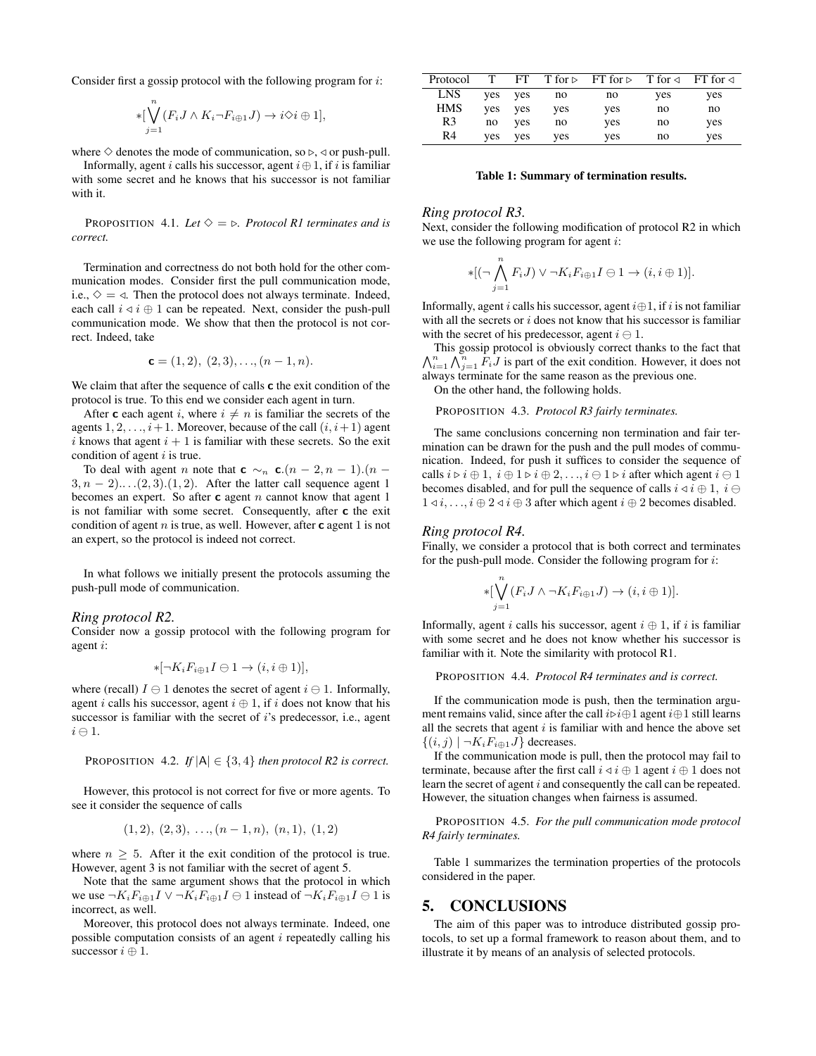Consider first a gossip protocol with the following program for i:

$$
*[\bigvee_{j=1}^{n}(F_{i}J\wedge K_{i}\neg F_{i\oplus 1}J)\rightarrow i\diamond i\oplus 1],
$$

where  $\diamond$  denotes the mode of communication, so  $\triangleright$ ,  $\triangleleft$  or push-pull.

Informally, agent i calls his successor, agent  $i \oplus 1$ , if i is familiar with some secret and he knows that his successor is not familiar with it.

PROPOSITION 4.1. Let  $\Diamond = \Diamond$ . Protocol R1 terminates and is *correct.*

Termination and correctness do not both hold for the other communication modes. Consider first the pull communication mode, i.e.,  $\diamondsuit = \triangleleft$ . Then the protocol does not always terminate. Indeed, each call  $i \triangleleft i \oplus 1$  can be repeated. Next, consider the push-pull communication mode. We show that then the protocol is not correct. Indeed, take

$$
\mathbf{c} = (1, 2), (2, 3), \dots, (n - 1, n).
$$

We claim that after the sequence of calls  $c$  the exit condition of the protocol is true. To this end we consider each agent in turn.

After **c** each agent *i*, where  $i \neq n$  is familiar the secrets of the agents  $1, 2, \ldots, i+1$ . Moreover, because of the call  $(i, i+1)$  agent i knows that agent  $i + 1$  is familiar with these secrets. So the exit condition of agent  $i$  is true.

To deal with agent *n* note that **c**  $\sim_n$  **c**. $(n-2, n-1)$ . $(n-1)$  $3, n - 2)$ ... . $(2, 3)$ . $(1, 2)$ . After the latter call sequence agent 1 becomes an expert. So after  $c$  agent  $n$  cannot know that agent 1 is not familiar with some secret. Consequently, after c the exit condition of agent  $n$  is true, as well. However, after  $c$  agent 1 is not an expert, so the protocol is indeed not correct.

In what follows we initially present the protocols assuming the push-pull mode of communication.

#### *Ring protocol R2.*

Consider now a gossip protocol with the following program for agent i:

$$
*[\neg K_i F_{i \oplus 1} I \ominus 1 \to (i, i \oplus 1)],
$$

where (recall)  $I \ominus 1$  denotes the secret of agent  $i \ominus 1$ . Informally, agent i calls his successor, agent  $i \oplus 1$ , if i does not know that his successor is familiar with the secret of i's predecessor, i.e., agent  $i \ominus 1$ .

**PROPOSITION** 4.2. If 
$$
|A| \in \{3, 4\}
$$
 then protocol R2 is correct.

However, this protocol is not correct for five or more agents. To see it consider the sequence of calls

$$
(1,2), (2,3), \ldots, (n-1,n), (n,1), (1,2)
$$

where  $n \geq 5$ . After it the exit condition of the protocol is true. However, agent 3 is not familiar with the secret of agent 5.

Note that the same argument shows that the protocol in which we use  $\neg K_iF_{i\oplus 1}I \lor \neg K_iF_{i\oplus 1}I \ominus 1$  instead of  $\neg K_iF_{i\oplus 1}I \ominus 1$  is incorrect, as well.

Moreover, this protocol does not always terminate. Indeed, one possible computation consists of an agent  $i$  repeatedly calling his successor  $i \oplus 1$ .

| Protocol       |     | FT. |     | $T$ for $\triangleright$ FT for $\triangleright$ T for $\triangleleft$ FT for $\triangleleft$ |     |     |
|----------------|-----|-----|-----|-----------------------------------------------------------------------------------------------|-----|-----|
| <b>LNS</b>     | yes | ves | no  | no                                                                                            | yes | yes |
| HMS            | yes | yes | yes | yes                                                                                           | no  | no  |
| R <sub>3</sub> | no  | ves | no  | yes                                                                                           | no  | yes |
| R4             | yes | ves | yes | yes                                                                                           | no  | yes |

#### Table 1: Summary of termination results.

#### *Ring protocol R3.*

Next, consider the following modification of protocol R2 in which we use the following program for agent  $i$ :

$$
*[(\neg \bigwedge_{j=1}^{n} F_{i}J) \vee \neg K_{i}F_{i\oplus 1}I \ominus 1 \rightarrow (i, i \oplus 1)].
$$

Informally, agent i calls his successor, agent  $i \oplus 1$ , if i is not familiar with all the secrets or  $i$  does not know that his successor is familiar with the secret of his predecessor, agent  $i \ominus 1$ .

 $\bigwedge_{i=1}^n \bigwedge_{j=1}^n F_i J$  is part of the exit condition. However, it does not This gossip protocol is obviously correct thanks to the fact that  $\frac{1}{2}$  always terminate for the same reason as the previous one.

On the other hand, the following holds.

PROPOSITION 4.3. *Protocol R3 fairly terminates.*

The same conclusions concerning non termination and fair termination can be drawn for the push and the pull modes of communication. Indeed, for push it suffices to consider the sequence of calls  $i \triangleright i \oplus 1$ ,  $i \oplus 1 \triangleright i \oplus 2$ , ...,  $i \ominus 1 \triangleright i$  after which agent  $i \ominus 1$ becomes disabled, and for pull the sequence of calls  $i \triangleleft i \oplus 1$ ,  $i \ominus$  $1 \le i, \ldots, i \oplus 2 \le i \oplus 3$  after which agent  $i \oplus 2$  becomes disabled.

#### *Ring protocol R4.*

Finally, we consider a protocol that is both correct and terminates for the push-pull mode. Consider the following program for  $i$ :

$$
*[\bigvee_{j=1}^{n} (F_i J \wedge \neg K_i F_{i \oplus 1} J) \rightarrow (i, i \oplus 1)].
$$

Informally, agent i calls his successor, agent  $i \oplus 1$ , if i is familiar with some secret and he does not know whether his successor is familiar with it. Note the similarity with protocol R1.

PROPOSITION 4.4. *Protocol R4 terminates and is correct.*

If the communication mode is push, then the termination argument remains valid, since after the call  $i\triangleright i\oplus 1$  agent  $i\oplus 1$  still learns all the secrets that agent  $i$  is familiar with and hence the above set  $\{(i, j) \mid \neg K_i F_{i \oplus 1} J\}$  decreases.

If the communication mode is pull, then the protocol may fail to terminate, because after the first call  $i \triangleleft i \oplus 1$  agent  $i \oplus 1$  does not learn the secret of agent i and consequently the call can be repeated. However, the situation changes when fairness is assumed.

PROPOSITION 4.5. *For the pull communication mode protocol R4 fairly terminates.*

Table 1 summarizes the termination properties of the protocols considered in the paper.

# 5. CONCLUSIONS

The aim of this paper was to introduce distributed gossip protocols, to set up a formal framework to reason about them, and to illustrate it by means of an analysis of selected protocols.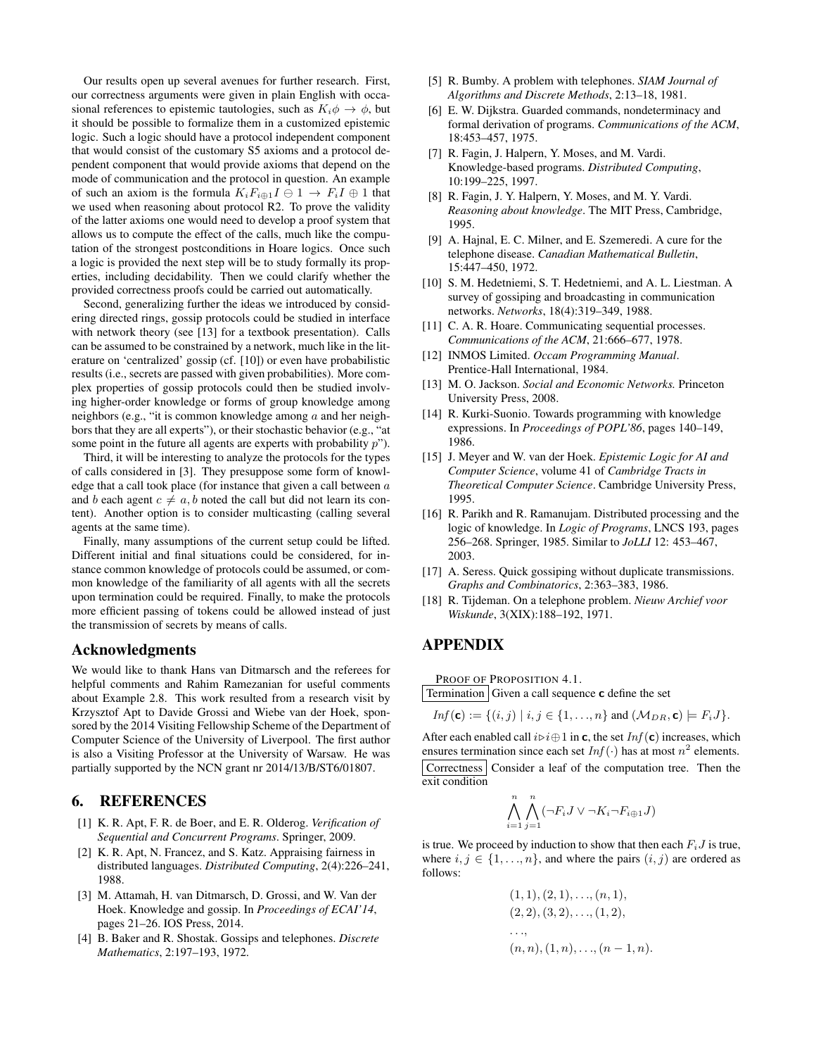Our results open up several avenues for further research. First, our correctness arguments were given in plain English with occasional references to epistemic tautologies, such as  $K_i \phi \rightarrow \phi$ , but it should be possible to formalize them in a customized epistemic logic. Such a logic should have a protocol independent component that would consist of the customary S5 axioms and a protocol dependent component that would provide axioms that depend on the mode of communication and the protocol in question. An example of such an axiom is the formula  $K_iF_{i\oplus 1}I \oplus 1 \rightarrow F_iI \oplus 1$  that we used when reasoning about protocol R2. To prove the validity of the latter axioms one would need to develop a proof system that allows us to compute the effect of the calls, much like the computation of the strongest postconditions in Hoare logics. Once such a logic is provided the next step will be to study formally its properties, including decidability. Then we could clarify whether the provided correctness proofs could be carried out automatically.

Second, generalizing further the ideas we introduced by considering directed rings, gossip protocols could be studied in interface with network theory (see [13] for a textbook presentation). Calls can be assumed to be constrained by a network, much like in the literature on 'centralized' gossip (cf. [10]) or even have probabilistic results (i.e., secrets are passed with given probabilities). More complex properties of gossip protocols could then be studied involving higher-order knowledge or forms of group knowledge among neighbors (e.g., "it is common knowledge among  $\alpha$  and her neighbors that they are all experts"), or their stochastic behavior (e.g., "at some point in the future all agents are experts with probability  $p$ ").

Third, it will be interesting to analyze the protocols for the types of calls considered in [3]. They presuppose some form of knowledge that a call took place (for instance that given a call between  $a$ and b each agent  $c \neq a$ , b noted the call but did not learn its content). Another option is to consider multicasting (calling several agents at the same time).

Finally, many assumptions of the current setup could be lifted. Different initial and final situations could be considered, for instance common knowledge of protocols could be assumed, or common knowledge of the familiarity of all agents with all the secrets upon termination could be required. Finally, to make the protocols more efficient passing of tokens could be allowed instead of just the transmission of secrets by means of calls.

## Acknowledgments

We would like to thank Hans van Ditmarsch and the referees for helpful comments and Rahim Ramezanian for useful comments about Example 2.8. This work resulted from a research visit by Krzysztof Apt to Davide Grossi and Wiebe van der Hoek, sponsored by the 2014 Visiting Fellowship Scheme of the Department of Computer Science of the University of Liverpool. The first author is also a Visiting Professor at the University of Warsaw. He was partially supported by the NCN grant nr 2014/13/B/ST6/01807.

## 6. REFERENCES

- [1] K. R. Apt, F. R. de Boer, and E. R. Olderog. *Verification of Sequential and Concurrent Programs*. Springer, 2009.
- [2] K. R. Apt, N. Francez, and S. Katz. Appraising fairness in distributed languages. *Distributed Computing*, 2(4):226–241, 1988.
- [3] M. Attamah, H. van Ditmarsch, D. Grossi, and W. Van der Hoek. Knowledge and gossip. In *Proceedings of ECAI'14*, pages 21–26. IOS Press, 2014.
- [4] B. Baker and R. Shostak. Gossips and telephones. *Discrete Mathematics*, 2:197–193, 1972.
- [5] R. Bumby. A problem with telephones. *SIAM Journal of Algorithms and Discrete Methods*, 2:13–18, 1981.
- [6] E. W. Dijkstra. Guarded commands, nondeterminacy and formal derivation of programs. *Communications of the ACM*, 18:453–457, 1975.
- [7] R. Fagin, J. Halpern, Y. Moses, and M. Vardi. Knowledge-based programs. *Distributed Computing*, 10:199–225, 1997.
- [8] R. Fagin, J. Y. Halpern, Y. Moses, and M. Y. Vardi. *Reasoning about knowledge*. The MIT Press, Cambridge, 1995.
- [9] A. Hajnal, E. C. Milner, and E. Szemeredi. A cure for the telephone disease. *Canadian Mathematical Bulletin*, 15:447–450, 1972.
- [10] S. M. Hedetniemi, S. T. Hedetniemi, and A. L. Liestman. A survey of gossiping and broadcasting in communication networks. *Networks*, 18(4):319–349, 1988.
- [11] C. A. R. Hoare. Communicating sequential processes. *Communications of the ACM*, 21:666–677, 1978.
- [12] INMOS Limited. *Occam Programming Manual*. Prentice-Hall International, 1984.
- [13] M. O. Jackson. *Social and Economic Networks.* Princeton University Press, 2008.
- [14] R. Kurki-Suonio. Towards programming with knowledge expressions. In *Proceedings of POPL'86*, pages 140–149, 1986.
- [15] J. Meyer and W. van der Hoek. *Epistemic Logic for AI and Computer Science*, volume 41 of *Cambridge Tracts in Theoretical Computer Science*. Cambridge University Press, 1995.
- [16] R. Parikh and R. Ramanujam. Distributed processing and the logic of knowledge. In *Logic of Programs*, LNCS 193, pages 256–268. Springer, 1985. Similar to *JoLLI* 12: 453–467, 2003.
- [17] A. Seress. Quick gossiping without duplicate transmissions. *Graphs and Combinatorics*, 2:363–383, 1986.
- [18] R. Tijdeman. On a telephone problem. *Nieuw Archief voor Wiskunde*, 3(XIX):188–192, 1971.

# APPENDIX

PROOF OF PROPOSITION 4.1.

Termination  $\overline{G}$  Given a call sequence **c** define the set

$$
Inf(\mathbf{c}) := \{ (i,j) \mid i,j \in \{1,\ldots,n\} \text{ and } (\mathcal{M}_{DR}, \mathbf{c}) \models F_i J \}.
$$

After each enabled call  $i \triangleright i \oplus 1$  in c, the set  $Inf(c)$  increases, which ensures termination since each set  $Inf(\cdot)$  has at most  $n^2$  elements. Correctness | Consider a leaf of the computation tree. Then the exit condition

$$
\bigwedge_{i=1}^{n} \bigwedge_{j=1}^{n} (\neg F_i J \lor \neg K_i \neg F_{i \oplus 1} J)
$$

is true. We proceed by induction to show that then each  $F_i J$  is true, where  $i, j \in \{1, ..., n\}$ , and where the pairs  $(i, j)$  are ordered as follows:

$$
(1, 1), (2, 1), \ldots, (n, 1),
$$
  

$$
(2, 2), (3, 2), \ldots, (1, 2),
$$
  

$$
\ldots,
$$
  

$$
(n, n), (1, n), \ldots, (n - 1, n).
$$